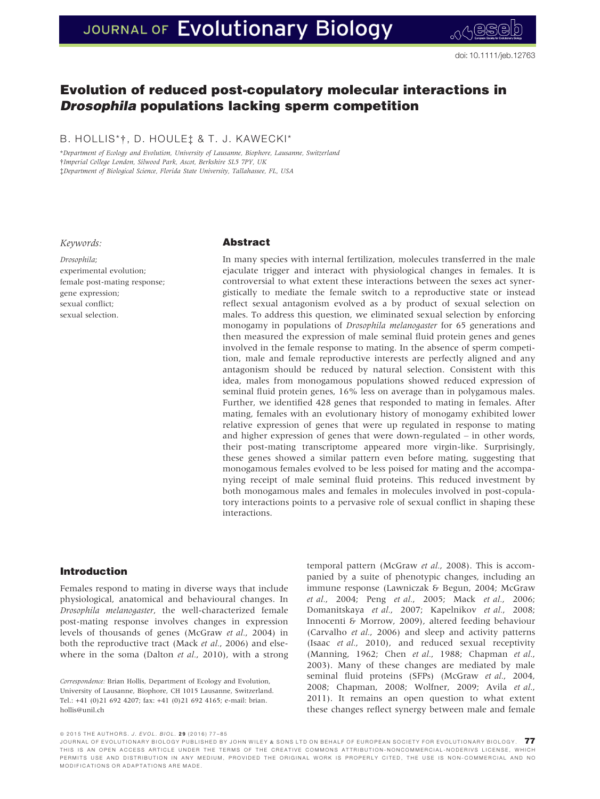# JOURNAL OF Evolutionary Biology

# Evolution of reduced post-copulatory molecular interactions in Drosophila populations lacking sperm competition

B. HOLLIS\*†, D. HOULE‡ & T. J. KAWECKI\*

\*Department of Ecology and Evolution, University of Lausanne, Biophore, Lausanne, Switzerland †Imperial College London, Silwood Park, Ascot, Berkshire SL5 7PY, UK ‡Department of Biological Science, Florida State University, Tallahassee, FL, USA

#### Keywords:

Drosophila; experimental evolution; female post-mating response; gene expression; sexual conflict; sexual selection.

# Abstract

In many species with internal fertilization, molecules transferred in the male ejaculate trigger and interact with physiological changes in females. It is controversial to what extent these interactions between the sexes act synergistically to mediate the female switch to a reproductive state or instead reflect sexual antagonism evolved as a by product of sexual selection on males. To address this question, we eliminated sexual selection by enforcing monogamy in populations of Drosophila melanogaster for 65 generations and then measured the expression of male seminal fluid protein genes and genes involved in the female response to mating. In the absence of sperm competition, male and female reproductive interests are perfectly aligned and any antagonism should be reduced by natural selection. Consistent with this idea, males from monogamous populations showed reduced expression of seminal fluid protein genes, 16% less on average than in polygamous males. Further, we identified 428 genes that responded to mating in females. After mating, females with an evolutionary history of monogamy exhibited lower relative expression of genes that were up regulated in response to mating and higher expression of genes that were down-regulated – in other words, their post-mating transcriptome appeared more virgin-like. Surprisingly, these genes showed a similar pattern even before mating, suggesting that monogamous females evolved to be less poised for mating and the accompanying receipt of male seminal fluid proteins. This reduced investment by both monogamous males and females in molecules involved in post-copulatory interactions points to a pervasive role of sexual conflict in shaping these interactions.

# Introduction

Females respond to mating in diverse ways that include physiological, anatomical and behavioural changes. In Drosophila melanogaster, the well-characterized female post-mating response involves changes in expression levels of thousands of genes (McGraw et al., 2004) in both the reproductive tract (Mack et al., 2006) and elsewhere in the soma (Dalton *et al.*, 2010), with a strong

Correspondence: Brian Hollis, Department of Ecology and Evolution, University of Lausanne, Biophore, CH 1015 Lausanne, Switzerland. Tel.: +41 (0)21 692 4207; fax: +41 (0)21 692 4165; e-mail: brian. hollis@unil.ch

temporal pattern (McGraw et al., 2008). This is accompanied by a suite of phenotypic changes, including an immune response (Lawniczak & Begun, 2004; McGraw et al., 2004; Peng et al., 2005; Mack et al., 2006; Domanitskaya et al., 2007; Kapelnikov et al., 2008; Innocenti & Morrow, 2009), altered feeding behaviour (Carvalho et al., 2006) and sleep and activity patterns (Isaac et al., 2010), and reduced sexual receptivity (Manning, 1962; Chen et al., 1988; Chapman et al., 2003). Many of these changes are mediated by male seminal fluid proteins (SFPs) (McGraw et al., 2004, 2008; Chapman, 2008; Wolfner, 2009; Avila et al., 2011). It remains an open question to what extent these changes reflect synergy between male and female

ª 2015 THE AUTHORS. J. EVOL. BIOL. 2 9 (2016) 77–85

JOURNAL OF EVOLUTIONARY BIOLOGY PUBLISHED BY JOHN WILEY & SONS LTD ON BEHALF OF EUROPEAN SOCIETY FOR EVOLUTIONARY BIOLOGY.  $77$ THIS IS AN OPEN ACCESS ARTICLE UNDER THE TERMS OF THE CREATIVE C [OMMONS ATTRIBUTION-NONCOMMERCIAL-NODERIVS](http://creativecommons.org/licenses/by-nc-nd/4.0/) LICENSE, WHICH PERMITS USE AND DISTRIBUTION IN ANY MEDIUM, PROVIDED THE ORIGINAL WORK IS PROPERLY CITED, THE USE IS NON-COMMERCIAL AND NO MODIFICATIONS OR ADAPTATIONS ARE MADE.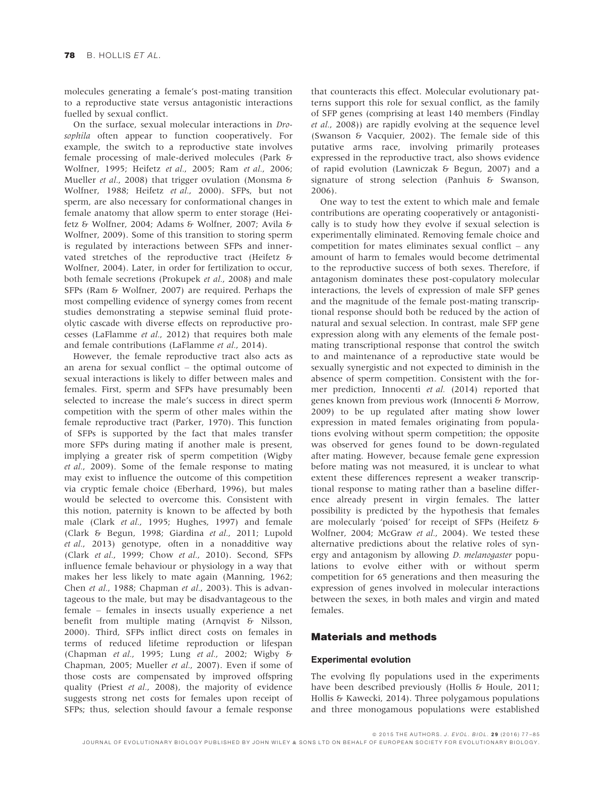molecules generating a female's post-mating transition to a reproductive state versus antagonistic interactions fuelled by sexual conflict.

On the surface, sexual molecular interactions in Drosophila often appear to function cooperatively. For example, the switch to a reproductive state involves female processing of male-derived molecules (Park & Wolfner, 1995; Heifetz et al., 2005; Ram et al., 2006; Mueller et al., 2008) that trigger ovulation (Monsma & Wolfner, 1988; Heifetz et al., 2000). SFPs, but not sperm, are also necessary for conformational changes in female anatomy that allow sperm to enter storage (Heifetz & Wolfner, 2004; Adams & Wolfner, 2007; Avila & Wolfner, 2009). Some of this transition to storing sperm is regulated by interactions between SFPs and innervated stretches of the reproductive tract (Heifetz & Wolfner, 2004). Later, in order for fertilization to occur, both female secretions (Prokupek et al., 2008) and male SFPs (Ram & Wolfner, 2007) are required. Perhaps the most compelling evidence of synergy comes from recent studies demonstrating a stepwise seminal fluid proteolytic cascade with diverse effects on reproductive processes (LaFlamme et al., 2012) that requires both male and female contributions (LaFlamme et al., 2014).

However, the female reproductive tract also acts as an arena for sexual conflict – the optimal outcome of sexual interactions is likely to differ between males and females. First, sperm and SFPs have presumably been selected to increase the male's success in direct sperm competition with the sperm of other males within the female reproductive tract (Parker, 1970). This function of SFPs is supported by the fact that males transfer more SFPs during mating if another male is present, implying a greater risk of sperm competition (Wigby et al., 2009). Some of the female response to mating may exist to influence the outcome of this competition via cryptic female choice (Eberhard, 1996), but males would be selected to overcome this. Consistent with this notion, paternity is known to be affected by both male (Clark et al., 1995; Hughes, 1997) and female (Clark & Begun, 1998; Giardina et al., 2011; Lupold et al., 2013) genotype, often in a nonadditive way (Clark et al., 1999; Chow et al., 2010). Second, SFPs influence female behaviour or physiology in a way that makes her less likely to mate again (Manning, 1962; Chen et al., 1988; Chapman et al., 2003). This is advantageous to the male, but may be disadvantageous to the female – females in insects usually experience a net benefit from multiple mating (Arnqvist & Nilsson, 2000). Third, SFPs inflict direct costs on females in terms of reduced lifetime reproduction or lifespan (Chapman et al., 1995; Lung et al., 2002; Wigby & Chapman, 2005; Mueller et al., 2007). Even if some of those costs are compensated by improved offspring quality (Priest et al., 2008), the majority of evidence suggests strong net costs for females upon receipt of SFPs; thus, selection should favour a female response

that counteracts this effect. Molecular evolutionary patterns support this role for sexual conflict, as the family of SFP genes (comprising at least 140 members (Findlay et al., 2008)) are rapidly evolving at the sequence level (Swanson & Vacquier, 2002). The female side of this putative arms race, involving primarily proteases expressed in the reproductive tract, also shows evidence of rapid evolution (Lawniczak & Begun, 2007) and a signature of strong selection (Panhuis & Swanson, 2006).

One way to test the extent to which male and female contributions are operating cooperatively or antagonistically is to study how they evolve if sexual selection is experimentally eliminated. Removing female choice and competition for mates eliminates sexual conflict – any amount of harm to females would become detrimental to the reproductive success of both sexes. Therefore, if antagonism dominates these post-copulatory molecular interactions, the levels of expression of male SFP genes and the magnitude of the female post-mating transcriptional response should both be reduced by the action of natural and sexual selection. In contrast, male SFP gene expression along with any elements of the female postmating transcriptional response that control the switch to and maintenance of a reproductive state would be sexually synergistic and not expected to diminish in the absence of sperm competition. Consistent with the former prediction, Innocenti et al. (2014) reported that genes known from previous work (Innocenti & Morrow, 2009) to be up regulated after mating show lower expression in mated females originating from populations evolving without sperm competition; the opposite was observed for genes found to be down-regulated after mating. However, because female gene expression before mating was not measured, it is unclear to what extent these differences represent a weaker transcriptional response to mating rather than a baseline difference already present in virgin females. The latter possibility is predicted by the hypothesis that females are molecularly 'poised' for receipt of SFPs (Heifetz & Wolfner, 2004; McGraw et al., 2004). We tested these alternative predictions about the relative roles of synergy and antagonism by allowing *D. melanogaster* populations to evolve either with or without sperm competition for 65 generations and then measuring the expression of genes involved in molecular interactions between the sexes, in both males and virgin and mated females.

### Materials and methods

#### Experimental evolution

The evolving fly populations used in the experiments have been described previously (Hollis & Houle, 2011; Hollis & Kawecki, 2014). Three polygamous populations and three monogamous populations were established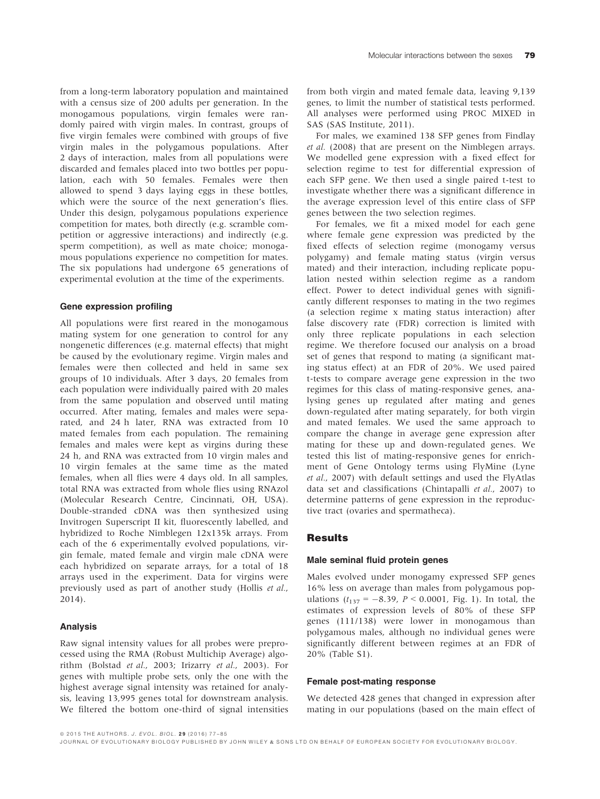from a long-term laboratory population and maintained with a census size of 200 adults per generation. In the monogamous populations, virgin females were randomly paired with virgin males. In contrast, groups of five virgin females were combined with groups of five virgin males in the polygamous populations. After 2 days of interaction, males from all populations were discarded and females placed into two bottles per population, each with 50 females. Females were then allowed to spend 3 days laying eggs in these bottles, which were the source of the next generation's flies. Under this design, polygamous populations experience competition for mates, both directly (e.g. scramble competition or aggressive interactions) and indirectly (e.g. sperm competition), as well as mate choice; monogamous populations experience no competition for mates. The six populations had undergone 65 generations of experimental evolution at the time of the experiments.

#### Gene expression profiling

All populations were first reared in the monogamous mating system for one generation to control for any nongenetic differences (e.g. maternal effects) that might be caused by the evolutionary regime. Virgin males and females were then collected and held in same sex groups of 10 individuals. After 3 days, 20 females from each population were individually paired with 20 males from the same population and observed until mating occurred. After mating, females and males were separated, and 24 h later, RNA was extracted from 10 mated females from each population. The remaining females and males were kept as virgins during these 24 h, and RNA was extracted from 10 virgin males and 10 virgin females at the same time as the mated females, when all flies were 4 days old. In all samples, total RNA was extracted from whole flies using RNAzol (Molecular Research Centre, Cincinnati, OH, USA). Double-stranded cDNA was then synthesized using Invitrogen Superscript II kit, fluorescently labelled, and hybridized to Roche Nimblegen 12x135k arrays. From each of the 6 experimentally evolved populations, virgin female, mated female and virgin male cDNA were each hybridized on separate arrays, for a total of 18 arrays used in the experiment. Data for virgins were previously used as part of another study (Hollis et al., 2014).

#### Analysis

Raw signal intensity values for all probes were preprocessed using the RMA (Robust Multichip Average) algorithm (Bolstad et al., 2003; Irizarry et al., 2003). For genes with multiple probe sets, only the one with the highest average signal intensity was retained for analysis, leaving 13,995 genes total for downstream analysis. We filtered the bottom one-third of signal intensities

from both virgin and mated female data, leaving 9,139 genes, to limit the number of statistical tests performed. All analyses were performed using PROC MIXED in SAS (SAS Institute, 2011).

For males, we examined 138 SFP genes from Findlay et al. (2008) that are present on the Nimblegen arrays. We modelled gene expression with a fixed effect for selection regime to test for differential expression of each SFP gene. We then used a single paired t-test to investigate whether there was a significant difference in the average expression level of this entire class of SFP genes between the two selection regimes.

For females, we fit a mixed model for each gene where female gene expression was predicted by the fixed effects of selection regime (monogamy versus polygamy) and female mating status (virgin versus mated) and their interaction, including replicate population nested within selection regime as a random effect. Power to detect individual genes with significantly different responses to mating in the two regimes (a selection regime x mating status interaction) after false discovery rate (FDR) correction is limited with only three replicate populations in each selection regime. We therefore focused our analysis on a broad set of genes that respond to mating (a significant mating status effect) at an FDR of 20%. We used paired t-tests to compare average gene expression in the two regimes for this class of mating-responsive genes, analysing genes up regulated after mating and genes down-regulated after mating separately, for both virgin and mated females. We used the same approach to compare the change in average gene expression after mating for these up and down-regulated genes. We tested this list of mating-responsive genes for enrichment of Gene Ontology terms using FlyMine (Lyne et al., 2007) with default settings and used the FlyAtlas data set and classifications (Chintapalli et al., 2007) to determine patterns of gene expression in the reproductive tract (ovaries and spermatheca).

#### Results

#### Male seminal fluid protein genes

Males evolved under monogamy expressed SFP genes 16% less on average than males from polygamous populations  $(t_{137} = -8.39, P < 0.0001, Fig. 1)$ . In total, the estimates of expression levels of 80% of these SFP genes (111/138) were lower in monogamous than polygamous males, although no individual genes were significantly different between regimes at an FDR of 20% (Table S1).

#### Female post-mating response

We detected 428 genes that changed in expression after mating in our populations (based on the main effect of

ª 2015 THE AUTHORS. J. EVOL. BIOL. 2 9 (2016) 77–85

JOURNAL OF EVOLUTIONARY BIOLOGY PUBLISHED BY JOHN WILEY & SONS LTD ON BEHALF OF EUROPEAN SOCIETY FOR EVOLUTIONARY BIOLOGY.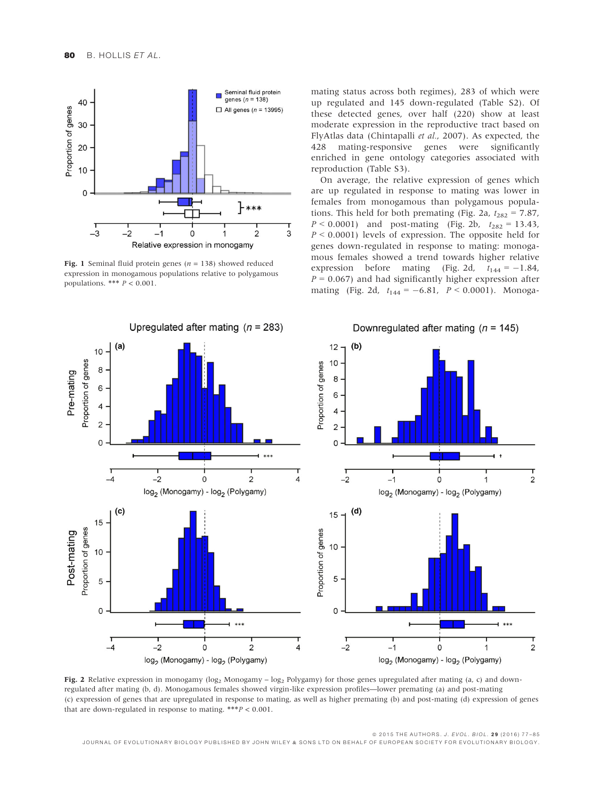

**Fig. 1** Seminal fluid protein genes ( $n = 138$ ) showed reduced expression in monogamous populations relative to polygamous populations. \*\*\*  $P < 0.001$ .

mating status across both regimes), 283 of which were up regulated and 145 down-regulated (Table S2). Of these detected genes, over half (220) show at least moderate expression in the reproductive tract based on FlyAtlas data (Chintapalli et al., 2007). As expected, the 428 mating-responsive genes were significantly enriched in gene ontology categories associated with reproduction (Table S3).

On average, the relative expression of genes which are up regulated in response to mating was lower in females from monogamous than polygamous populations. This held for both premating (Fig. 2a,  $t_{282} = 7.87$ ,  $P < 0.0001$ ) and post-mating (Fig. 2b,  $t_{282} = 13.43$ ,  $P \le 0.0001$ ) levels of expression. The opposite held for genes down-regulated in response to mating: monogamous females showed a trend towards higher relative expression before mating (Fig. 2d,  $t_{144} = -1.84$ ,  $P = 0.067$ ) and had significantly higher expression after mating (Fig. 2d,  $t_{144} = -6.81$ ,  $P < 0.0001$ ). Monoga-



Fig. 2 Relative expression in monogamy  $(\log_2 M$ onogamy –  $\log_2 P$ olygamy) for those genes upregulated after mating (a, c) and downregulated after mating (b, d). Monogamous females showed virgin-like expression profiles—lower premating (a) and post-mating (c) expression of genes that are upregulated in response to mating, as well as higher premating (b) and post-mating (d) expression of genes that are down-regulated in response to mating.  $***P < 0.001$ .

© 2015 THE AUTHORS. J. EVOL. BIOL. 29 (2016) 77-85 JOURNAL OF EVOLUTIONARY BIOLOGY PUBLISHED BY JOHN WILEY & SONS LTD ON BEHALF OF EUROPEAN SOCIETY FOR EVOLUTIONARY BIOLOGY.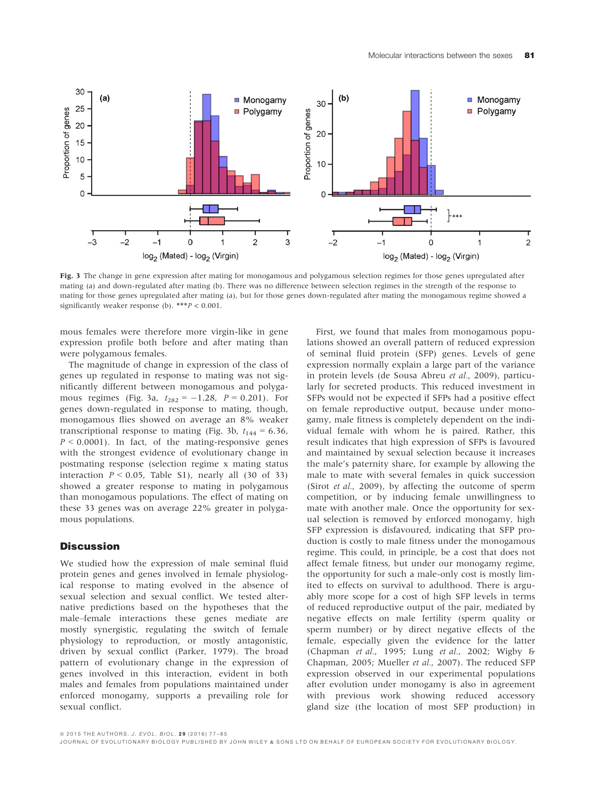

Fig. 3 The change in gene expression after mating for monogamous and polygamous selection regimes for those genes upregulated after mating (a) and down-regulated after mating (b). There was no difference between selection regimes in the strength of the response to mating for those genes upregulated after mating (a), but for those genes down-regulated after mating the monogamous regime showed a significantly weaker response (b). \*\*\*P < 0.001.

mous females were therefore more virgin-like in gene expression profile both before and after mating than were polygamous females.

The magnitude of change in expression of the class of genes up regulated in response to mating was not significantly different between monogamous and polygamous regimes (Fig. 3a,  $t_{282} = -1.28$ ,  $P = 0.201$ ). For genes down-regulated in response to mating, though, monogamous flies showed on average an 8% weaker transcriptional response to mating (Fig. 3b,  $t_{144} = 6.36$ ,  $P \le 0.0001$ ). In fact, of the mating-responsive genes with the strongest evidence of evolutionary change in postmating response (selection regime x mating status interaction  $P < 0.05$ , Table S1), nearly all (30 of 33) showed a greater response to mating in polygamous than monogamous populations. The effect of mating on these 33 genes was on average 22% greater in polygamous populations.

# **Discussion**

We studied how the expression of male seminal fluid protein genes and genes involved in female physiological response to mating evolved in the absence of sexual selection and sexual conflict. We tested alternative predictions based on the hypotheses that the male–female interactions these genes mediate are mostly synergistic, regulating the switch of female physiology to reproduction, or mostly antagonistic, driven by sexual conflict (Parker, 1979). The broad pattern of evolutionary change in the expression of genes involved in this interaction, evident in both males and females from populations maintained under enforced monogamy, supports a prevailing role for sexual conflict.

First, we found that males from monogamous populations showed an overall pattern of reduced expression of seminal fluid protein (SFP) genes. Levels of gene expression normally explain a large part of the variance in protein levels (de Sousa Abreu et al., 2009), particularly for secreted products. This reduced investment in SFPs would not be expected if SFPs had a positive effect on female reproductive output, because under monogamy, male fitness is completely dependent on the individual female with whom he is paired. Rather, this result indicates that high expression of SFPs is favoured and maintained by sexual selection because it increases the male's paternity share, for example by allowing the male to mate with several females in quick succession (Sirot et al., 2009), by affecting the outcome of sperm competition, or by inducing female unwillingness to mate with another male. Once the opportunity for sexual selection is removed by enforced monogamy, high SFP expression is disfavoured, indicating that SFP production is costly to male fitness under the monogamous regime. This could, in principle, be a cost that does not affect female fitness, but under our monogamy regime, the opportunity for such a male-only cost is mostly limited to effects on survival to adulthood. There is arguably more scope for a cost of high SFP levels in terms of reduced reproductive output of the pair, mediated by negative effects on male fertility (sperm quality or sperm number) or by direct negative effects of the female, especially given the evidence for the latter (Chapman et al., 1995; Lung et al., 2002; Wigby & Chapman, 2005; Mueller et al., 2007). The reduced SFP expression observed in our experimental populations after evolution under monogamy is also in agreement with previous work showing reduced accessory gland size (the location of most SFP production) in

JOURNAL OF EVOLUTIONARY BIOLOGY PUBLISHED BY JOHN WILEY & SONS LTD ON BEHALF OF EUROPEAN SOCIETY FOR EVOLUTIONARY BIOLOGY.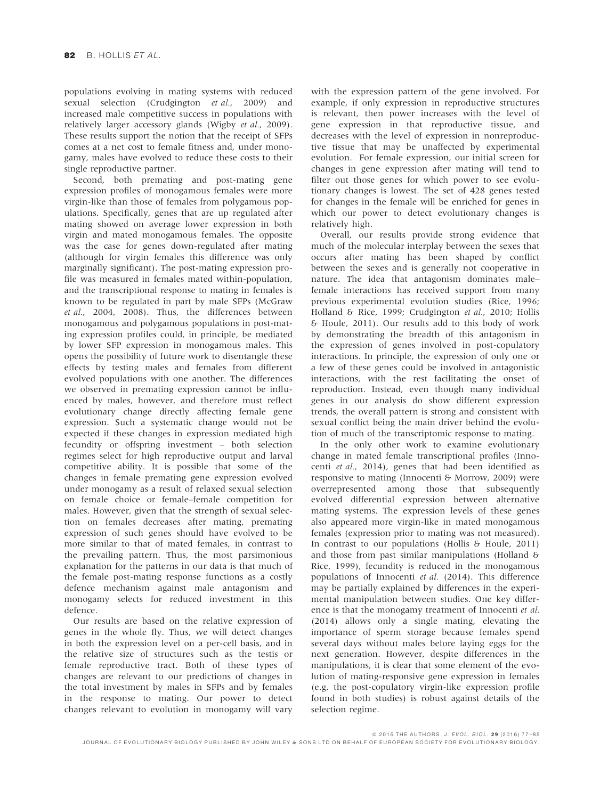populations evolving in mating systems with reduced sexual selection (Crudgington et al., 2009) and increased male competitive success in populations with relatively larger accessory glands (Wigby et al., 2009). These results support the notion that the receipt of SFPs comes at a net cost to female fitness and, under monogamy, males have evolved to reduce these costs to their single reproductive partner.

Second, both premating and post-mating gene expression profiles of monogamous females were more virgin-like than those of females from polygamous populations. Specifically, genes that are up regulated after mating showed on average lower expression in both virgin and mated monogamous females. The opposite was the case for genes down-regulated after mating (although for virgin females this difference was only marginally significant). The post-mating expression profile was measured in females mated within-population, and the transcriptional response to mating in females is known to be regulated in part by male SFPs (McGraw et al., 2004, 2008). Thus, the differences between monogamous and polygamous populations in post-mating expression profiles could, in principle, be mediated by lower SFP expression in monogamous males. This opens the possibility of future work to disentangle these effects by testing males and females from different evolved populations with one another. The differences we observed in premating expression cannot be influenced by males, however, and therefore must reflect evolutionary change directly affecting female gene expression. Such a systematic change would not be expected if these changes in expression mediated high fecundity or offspring investment – both selection regimes select for high reproductive output and larval competitive ability. It is possible that some of the changes in female premating gene expression evolved under monogamy as a result of relaxed sexual selection on female choice or female–female competition for males. However, given that the strength of sexual selection on females decreases after mating, premating expression of such genes should have evolved to be more similar to that of mated females, in contrast to the prevailing pattern. Thus, the most parsimonious explanation for the patterns in our data is that much of the female post-mating response functions as a costly defence mechanism against male antagonism and monogamy selects for reduced investment in this defence.

Our results are based on the relative expression of genes in the whole fly. Thus, we will detect changes in both the expression level on a per-cell basis, and in the relative size of structures such as the testis or female reproductive tract. Both of these types of changes are relevant to our predictions of changes in the total investment by males in SFPs and by females in the response to mating. Our power to detect changes relevant to evolution in monogamy will vary

with the expression pattern of the gene involved. For example, if only expression in reproductive structures is relevant, then power increases with the level of gene expression in that reproductive tissue, and decreases with the level of expression in nonreproductive tissue that may be unaffected by experimental evolution. For female expression, our initial screen for changes in gene expression after mating will tend to filter out those genes for which power to see evolutionary changes is lowest. The set of 428 genes tested for changes in the female will be enriched for genes in which our power to detect evolutionary changes is relatively high.

Overall, our results provide strong evidence that much of the molecular interplay between the sexes that occurs after mating has been shaped by conflict between the sexes and is generally not cooperative in nature. The idea that antagonism dominates male– female interactions has received support from many previous experimental evolution studies (Rice, 1996; Holland & Rice, 1999; Crudgington et al., 2010; Hollis & Houle, 2011). Our results add to this body of work by demonstrating the breadth of this antagonism in the expression of genes involved in post-copulatory interactions. In principle, the expression of only one or a few of these genes could be involved in antagonistic interactions, with the rest facilitating the onset of reproduction. Instead, even though many individual genes in our analysis do show different expression trends, the overall pattern is strong and consistent with sexual conflict being the main driver behind the evolution of much of the transcriptomic response to mating.

In the only other work to examine evolutionary change in mated female transcriptional profiles (Innocenti et al., 2014), genes that had been identified as responsive to mating (Innocenti & Morrow, 2009) were overrepresented among those that subsequently evolved differential expression between alternative mating systems. The expression levels of these genes also appeared more virgin-like in mated monogamous females (expression prior to mating was not measured). In contrast to our populations (Hollis & Houle, 2011) and those from past similar manipulations (Holland & Rice, 1999), fecundity is reduced in the monogamous populations of Innocenti et al. (2014). This difference may be partially explained by differences in the experimental manipulation between studies. One key difference is that the monogamy treatment of Innocenti et al. (2014) allows only a single mating, elevating the importance of sperm storage because females spend several days without males before laying eggs for the next generation. However, despite differences in the manipulations, it is clear that some element of the evolution of mating-responsive gene expression in females (e.g. the post-copulatory virgin-like expression profile found in both studies) is robust against details of the selection regime.

© 2015 THE AUTHORS. J. EVOL. BIOL. 29 (2016) 77-85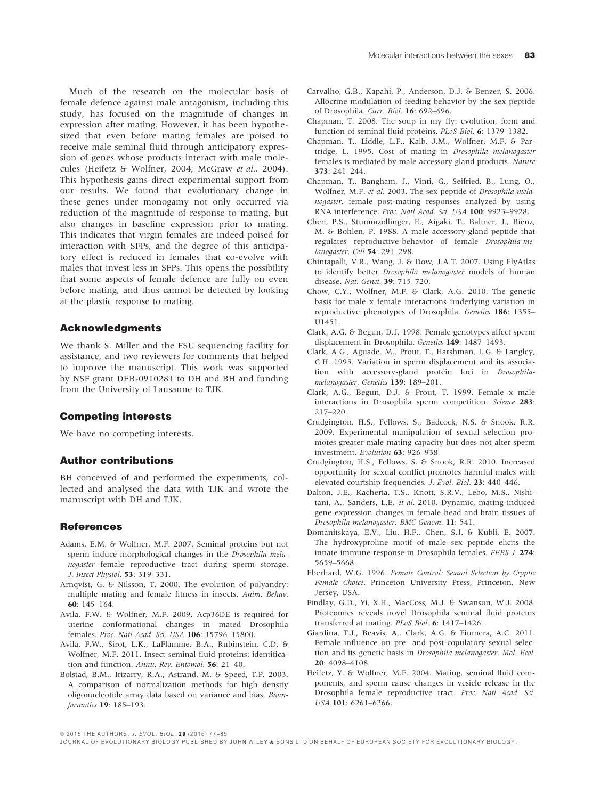Much of the research on the molecular basis of female defence against male antagonism, including this study, has focused on the magnitude of changes in expression after mating. However, it has been hypothesized that even before mating females are poised to receive male seminal fluid through anticipatory expression of genes whose products interact with male molecules (Heifetz & Wolfner, 2004; McGraw et al., 2004). This hypothesis gains direct experimental support from our results. We found that evolutionary change in these genes under monogamy not only occurred via reduction of the magnitude of response to mating, but also changes in baseline expression prior to mating. This indicates that virgin females are indeed poised for interaction with SFPs, and the degree of this anticipatory effect is reduced in females that co-evolve with males that invest less in SFPs. This opens the possibility that some aspects of female defence are fully on even before mating, and thus cannot be detected by looking at the plastic response to mating.

# Acknowledgments

We thank S. Miller and the FSU sequencing facility for assistance, and two reviewers for comments that helped to improve the manuscript. This work was supported by NSF grant DEB-0910281 to DH and BH and funding from the University of Lausanne to TJK.

#### Competing interests

We have no competing interests.

#### Author contributions

BH conceived of and performed the experiments, collected and analysed the data with TJK and wrote the manuscript with DH and TJK.

#### References

- Adams, E.M. & Wolfner, M.F. 2007. Seminal proteins but not sperm induce morphological changes in the Drosophila melanogaster female reproductive tract during sperm storage. J. Insect Physiol. 53: 319–331.
- Arnqvist, G. & Nilsson, T. 2000. The evolution of polyandry: multiple mating and female fitness in insects. Anim. Behav. 60: 145–164.
- Avila, F.W. & Wolfner, M.F. 2009. Acp36DE is required for uterine conformational changes in mated Drosophila females. Proc. Natl Acad. Sci. USA 106: 15796–15800.
- Avila, F.W., Sirot, L.K., LaFlamme, B.A., Rubinstein, C.D. & Wolfner, M.F. 2011. Insect seminal fluid proteins: identification and function. Annu. Rev. Entomol. 56: 21-40.
- Bolstad, B.M., Irizarry, R.A., Astrand, M. & Speed, T.P. 2003. A comparison of normalization methods for high density oligonucleotide array data based on variance and bias. Bioinformatics 19: 185–193.
- Carvalho, G.B., Kapahi, P., Anderson, D.J. & Benzer, S. 2006. Allocrine modulation of feeding behavior by the sex peptide of Drosophila. Curr. Biol. 16: 692–696.
- Chapman, T. 2008. The soup in my fly: evolution, form and function of seminal fluid proteins. PLoS Biol. 6: 1379–1382.
- Chapman, T., Liddle, L.F., Kalb, J.M., Wolfner, M.F. & Partridge, L. 1995. Cost of mating in Drosophila melanogaster females is mediated by male accessory gland products. Nature
- 373: 241–244. Chapman, T., Bangham, J., Vinti, G., Seifried, B., Lung, O., Wolfner, M.F. et al. 2003. The sex peptide of Drosophila melanogaster: female post-mating responses analyzed by using RNA interference. Proc. Natl Acad. Sci. USA 100: 9923–9928.
- Chen, P.S., Stummzollinger, E., Aigaki, T., Balmer, J., Bienz, M. & Bohlen, P. 1988. A male accessory-gland peptide that regulates reproductive-behavior of female Drosophila-melanogaster. Cell **54**: 291-298.
- Chintapalli, V.R., Wang, J. & Dow, J.A.T. 2007. Using FlyAtlas to identify better Drosophila melanogaster models of human disease. Nat. Genet. 39: 715–720.
- Chow, C.Y., Wolfner, M.F. & Clark, A.G. 2010. The genetic basis for male x female interactions underlying variation in reproductive phenotypes of Drosophila. Genetics <sup>186</sup>: 1355– U1451.
- Clark, A.G. & Begun, D.J. 1998. Female genotypes affect sperm displacement in Drosophila. Genetics 149: 1487–1493.
- Clark, A.G., Aguade, M., Prout, T., Harshman, L.G. & Langley, C.H. 1995. Variation in sperm displacement and its association with accessory-gland protein loci in Drosophilamelanogaster. Genetics 139: 189-201.
- Clark, A.G., Begun, D.J. & Prout, T. 1999. Female x male interactions in Drosophila sperm competition. Science 283: 217–220.
- Crudgington, H.S., Fellows, S., Badcock, N.S. & Snook, R.R. 2009. Experimental manipulation of sexual selection promotes greater male mating capacity but does not alter sperm investment. Evolution 63: 926–938.
- Crudgington, H.S., Fellows, S. & Snook, R.R. 2010. Increased opportunity for sexual conflict promotes harmful males with elevated courtship frequencies. J. Evol. Biol. 23: 440–446.
- Dalton, J.E., Kacheria, T.S., Knott, S.R.V., Lebo, M.S., Nishitani, A., Sanders, L.E. et al. 2010. Dynamic, mating-induced gene expression changes in female head and brain tissues of Drosophila melanogaster. BMC Genom. 11: 541.
- Domanitskaya, E.V., Liu, H.F., Chen, S.J. & Kubli, E. 2007. The hydroxyproline motif of male sex peptide elicits the innate immune response in Drosophila females. FEBS J. 274: 5659–5668.
- Eberhard, W.G. 1996. Female Control: Sexual Selection by Cryptic Female Choice. Princeton University Press, Princeton, New Jersey, USA.
- Findlay, G.D., Yi, X.H., MacCoss, M.J. & Swanson, W.J. 2008. Proteomics reveals novel Drosophila seminal fluid proteins transferred at mating. PLoS Biol. 6: 1417–1426.
- Giardina, T.J., Beavis, A., Clark, A.G. & Fiumera, A.C. 2011. Female influence on pre- and post-copulatory sexual selection and its genetic basis in Drosophila melanogaster. Mol. Ecol. 20: 4098–4108.
- Heifetz, Y. & Wolfner, M.F. 2004. Mating, seminal fluid components, and sperm cause changes in vesicle release in the Drosophila female reproductive tract. Proc. Natl Acad. Sci. USA 101: 6261–6266.

<sup>© 2015</sup> THE AUTHORS. J. EVOL. BIOL. 29 (2016) 77-85

JOURNAL OF EVOLUTIONARY BIOLOGY PUBLISHED BY JOHN WILEY & SONS LTD ON BEHALF OF EUROPEAN SOCIETY FOR EVOLUTIONARY BIOLOGY.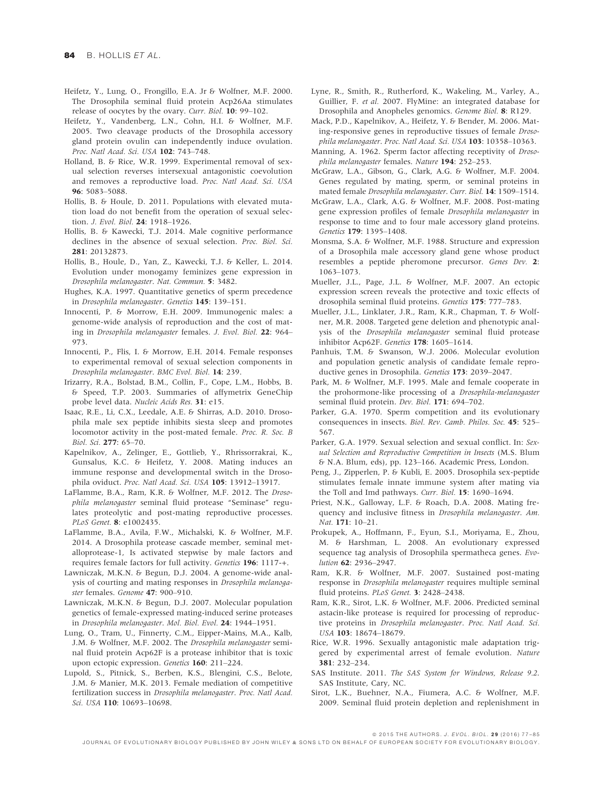- Heifetz, Y., Lung, O., Frongillo, E.A. Jr & Wolfner, M.F. 2000. The Drosophila seminal fluid protein Acp26Aa stimulates release of oocytes by the ovary. Curr. Biol. 10: 99–102.
- Heifetz, Y., Vandenberg, L.N., Cohn, H.I. & Wolfner, M.F. 2005. Two cleavage products of the Drosophila accessory gland protein ovulin can independently induce ovulation. Proc. Natl Acad. Sci. USA 102: 743–748.
- Holland, B. & Rice, W.R. 1999. Experimental removal of sexual selection reverses intersexual antagonistic coevolution and removes a reproductive load. Proc. Natl Acad. Sci. USA 96: 5083–5088.
- Hollis, B. & Houle, D. 2011. Populations with elevated mutation load do not benefit from the operation of sexual selection. J. Evol. Biol. 24: 1918–1926.
- Hollis, B. & Kawecki, T.J. 2014. Male cognitive performance declines in the absence of sexual selection. Proc. Biol. Sci. 281: 20132873.
- Hollis, B., Houle, D., Yan, Z., Kawecki, T.J. & Keller, L. 2014. Evolution under monogamy feminizes gene expression in Drosophila melanogaster. Nat. Commun. 5: 3482.
- Hughes, K.A. 1997. Quantitative genetics of sperm precedence in Drosophila melanogaster. Genetics 145: 139–151.
- Innocenti, P. & Morrow, E.H. 2009. Immunogenic males: a genome-wide analysis of reproduction and the cost of mating in Drosophila melanogaster females. J. Evol. Biol. 22: 964– 973.
- Innocenti, P., Flis, I. & Morrow, E.H. 2014. Female responses to experimental removal of sexual selection components in Drosophila melanogaster. BMC Evol. Biol. 14: 239.
- Irizarry, R.A., Bolstad, B.M., Collin, F., Cope, L.M., Hobbs, B. & Speed, T.P. 2003. Summaries of affymetrix GeneChip probe level data. Nucleic Acids Res. 31: e15.
- Isaac, R.E., Li, C.X., Leedale, A.E. & Shirras, A.D. 2010. Drosophila male sex peptide inhibits siesta sleep and promotes locomotor activity in the post-mated female. Proc. R. Soc. B Biol. Sci. 277: 65–70.
- Kapelnikov, A., Zelinger, E., Gottlieb, Y., Rhrissorrakrai, K., Gunsalus, K.C. & Heifetz, Y. 2008. Mating induces an immune response and developmental switch in the Drosophila oviduct. Proc. Natl Acad. Sci. USA 105: 13912–13917.
- LaFlamme, B.A., Ram, K.R. & Wolfner, M.F. 2012. The Drosophila melanogaster seminal fluid protease "Seminase" regulates proteolytic and post-mating reproductive processes. PLoS Genet. <sup>8</sup>: e1002435.
- LaFlamme, B.A., Avila, F.W., Michalski, K. & Wolfner, M.F. 2014. A Drosophila protease cascade member, seminal metalloprotease-1, Is activated stepwise by male factors and requires female factors for full activity. Genetics 196: 1117-+.
- Lawniczak, M.K.N. & Begun, D.J. 2004. A genome-wide analysis of courting and mating responses in Drosophila melanogaster females. Genome 47: 900–910.
- Lawniczak, M.K.N. & Begun, D.J. 2007. Molecular population genetics of female-expressed mating-induced serine proteases in Drosophila melanogaster. Mol. Biol. Evol. 24: 1944–1951.
- Lung, O., Tram, U., Finnerty, C.M., Eipper-Mains, M.A., Kalb, J.M. & Wolfner, M.F. 2002. The Drosophila melanogaster seminal fluid protein Acp62F is a protease inhibitor that is toxic upon ectopic expression. Genetics 160: 211–224.
- Lupold, S., Pitnick, S., Berben, K.S., Blengini, C.S., Belote, J.M. & Manier, M.K. 2013. Female mediation of competitive fertilization success in Drosophila melanogaster. Proc. Natl Acad. Sci. USA 110: 10693-10698.
- Lyne, R., Smith, R., Rutherford, K., Wakeling, M., Varley, A., Guillier, F. et al. 2007. FlyMine: an integrated database for Drosophila and Anopheles genomics. Genome Biol. 8: R129.
- Mack, P.D., Kapelnikov, A., Heifetz, Y. & Bender, M. 2006. Mating-responsive genes in reproductive tissues of female Drosophila melanogaster. Proc. Natl Acad. Sci. USA 103: 10358–10363.
- Manning, A. 1962. Sperm factor affecting receptivity of Drosophila melanogaster females. Nature 194: 252–253.
- McGraw, L.A., Gibson, G., Clark, A.G. & Wolfner, M.F. 2004. Genes regulated by mating, sperm, or seminal proteins in mated female Drosophila melanogaster. Curr. Biol. 14: 1509–1514.
- McGraw, L.A., Clark, A.G. & Wolfner, M.F. 2008. Post-mating gene expression profiles of female Drosophila melanogaster in response to time and to four male accessory gland proteins. Genetics 179: 1395–1408.
- Monsma, S.A. & Wolfner, M.F. 1988. Structure and expression of a Drosophila male accessory gland gene whose product resembles a peptide pheromone precursor. Genes Dev. 2: 1063–1073.
- Mueller, J.L., Page, J.L. & Wolfner, M.F. 2007. An ectopic expression screen reveals the protective and toxic effects of drosophila seminal fluid proteins. Genetics 175: 777–783.
- Mueller, J.L., Linklater, J.R., Ram, K.R., Chapman, T. & Wolfner, M.R. 2008. Targeted gene deletion and phenotypic analysis of the Drosophila melanogaster seminal fluid protease inhibitor Acp62F. Genetics 178: 1605–1614.
- Panhuis, T.M. & Swanson, W.J. 2006. Molecular evolution and population genetic analysis of candidate female reproductive genes in Drosophila. Genetics 173: 2039–2047.
- Park, M. & Wolfner, M.F. 1995. Male and female cooperate in the prohormone-like processing of a Drosophila-melanogaster seminal fluid protein. Dev. Biol. 171: 694–702.
- Parker, G.A. 1970. Sperm competition and its evolutionary consequences in insects. Biol. Rev. Camb. Philos. Soc. 45: 525– 567.
- Parker, G.A. 1979. Sexual selection and sexual conflict. In: Sexual Selection and Reproductive Competition in Insects (M.S. Blum & N.A. Blum, eds), pp. 123–166. Academic Press, London.
- Peng, J., Zipperlen, P. & Kubli, E. 2005. Drosophila sex-peptide stimulates female innate immune system after mating via the Toll and Imd pathways. Curr. Biol. 15: 1690-1694.
- Priest, N.K., Galloway, L.F. & Roach, D.A. 2008. Mating frequency and inclusive fitness in Drosophila melanogaster. Am. Nat. 171: 10–21.
- Prokupek, A., Hoffmann, F., Eyun, S.I., Moriyama, E., Zhou, M. & Harshman, L. 2008. An evolutionary expressed sequence tag analysis of Drosophila spermatheca genes. Evolution 62: 2936–2947.
- Ram, K.R. & Wolfner, M.F. 2007. Sustained post-mating response in Drosophila melanogaster requires multiple seminal fluid proteins. PLoS Genet. 3: 2428-2438.
- Ram, K.R., Sirot, L.K. & Wolfner, M.F. 2006. Predicted seminal astacin-like protease is required for processing of reproductive proteins in Drosophila melanogaster. Proc. Natl Acad. Sci. USA 103: 18674–18679.
- Rice, W.R. 1996. Sexually antagonistic male adaptation triggered by experimental arrest of female evolution. Nature 381: 232–234.
- SAS Institute. 2011. The SAS System for Windows, Release 9.2. SAS Institute, Cary, NC.
- Sirot, L.K., Buehner, N.A., Fiumera, A.C. & Wolfner, M.F. 2009. Seminal fluid protein depletion and replenishment in

© 2015 THE AUTHORS. J. EVOL. BIOL. 29 (2016) 77-85